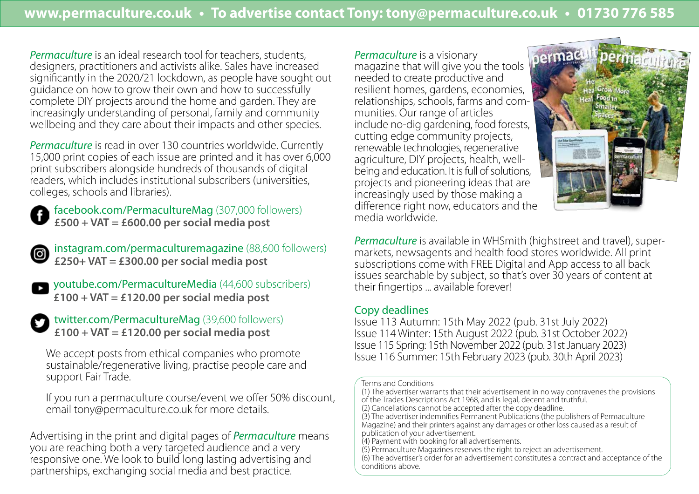*Permaculture* is an ideal research tool for teachers, students, designers, practitioners and activists alike. Sales have increased significantly in the 2020/21 lockdown, as people have sought out guidance on how to grow their own and how to successfully complete DIY projects around the home and garden. They are increasingly understanding of personal, family and community wellbeing and they care about their impacts and other species.

*Permaculture* is read in over 130 countries worldwide. Currently 15,000 print copies of each issue are printed and it has over 6,000 print subscribers alongside hundreds of thousands of digital readers, which includes institutional subscribers (universities, colleges, schools and libraries).

facebook.com/PermacultureMag (307,000 followers) **£500 + VAT = £600.00 per social media post**

instagram.com/permaculturemagazine (88,600 followers) 0 **£250+ VAT = £300.00 per social media post**

youtube.com/PermacultureMedia (44,600 subscribers) **£100 + VAT = £120.00 per social media post**

## twitter.com/PermacultureMag (39,600 followers) **£100 + VAT = £120.00 per social media post**

We accept posts from ethical companies who promote sustainable/regenerative living, practise people care and support Fair Trade.

If you run a permaculture course/event we offer 50% discount, email tony@permaculture.co.uk for more details.

Advertising in the print and digital pages of *Permaculture* means you are reaching both a very targeted audience and a very responsive one. We look to build long lasting advertising and partnerships, exchanging social media and best practice.

*Permaculture* is a visionary magazine that will give you the tools needed to create productive and resilient homes, gardens, economies, relationships, schools, farms and communities. Our range of articles include no-dig gardening, food forests, cutting edge community projects, renewable technologies, regenerative agriculture, DIY projects, health, well- being and education. It is full of solutions, projects and pioneering ideas that are increasingly used by those making a difference right now, educators and the media worldwide.



*Permaculture* is available in WHSmith (highstreet and travel), super- markets, newsagents and health food stores worldwide. All print subscriptions come with FREE Digital and App access to all back issues searchable by subject, so that's over 30 years of content at their fingertips ... available forever!

## Copy deadlines

Issue 113 Autumn: 15th May 2022 (pub. 31st July 2022) Issue 114 Winter: 15th August 2022 (pub. 31st October 2022) Issue 115 Spring: 15th November 2022 (pub. 31st January 2023) Issue 116 Summer: 15th February 2023 (pub. 30th April 2023)

## Terms and Conditions

- (1) The advertiser warrants that their advertisement in no way contravenes the provisions of the Trades Descriptions Act 1968, and is legal, decent and truthful.
- (2) Cancellations cannot be accepted after the copy deadline.

(3) The advertiser indemnifies Permanent Publications (the publishers of Permaculture Magazine) and their printers against any damages or other loss caused as a result of publication of your advertisement.

- (4) Payment with booking for all advertisements.
- (5) Permaculture Magazines reserves the right to reject an advertisement.

(6) The advertiser's order for an advertisement constitutes a contract and acceptance of the conditions above.